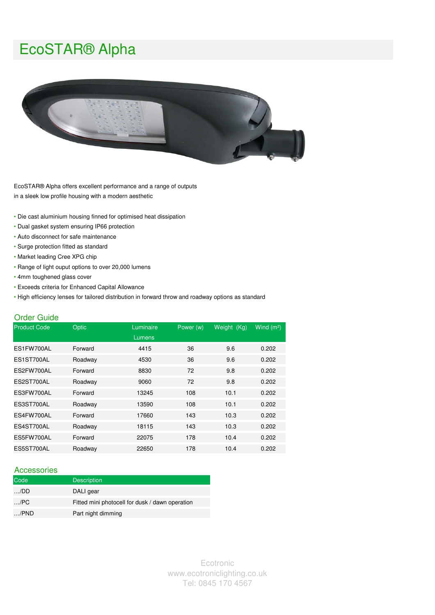# EcoSTAR® Alpha



EcoSTAR® Alpha offers excellent performance and a range of outputs in a sleek low profile housing with a modern aesthetic

- Die cast aluminium housing finned for optimised heat dissipation
- Dual gasket system ensuring IP66 protection
- Auto disconnect for safe maintenance
- Surge protection fitted as standard
- Market leading Cree XPG chip
- Range of light ouput options to over 20,000 lumens
- 4mm toughened glass cover
- Exceeds criteria for Enhanced Capital Allowance
- High efficiency lenses for tailored distribution in forward throw and roadway options as standard

#### Order Guide

| <b>Product Code</b> | Optic<br>Luminaire |        | Power (w) | Weight (Kg) | Wind $(m2)$ |
|---------------------|--------------------|--------|-----------|-------------|-------------|
|                     |                    | Lumens |           |             |             |
| ES1FW700AL          | Forward            | 4415   | 36        | 9.6         | 0.202       |
| ES1ST700AL          | Roadway            | 4530   | 36        | 9.6         | 0.202       |
| ES2FW700AL          | Forward            | 8830   | 72        | 9.8         | 0.202       |
| ES2ST700AL          | Roadway            | 9060   | 72        | 9.8         | 0.202       |
| ES3FW700AL          | Forward            | 13245  | 108       | 10.1        | 0.202       |
| ES3ST700AL          | Roadway            | 13590  | 108       | 10.1        | 0.202       |
| ES4FW700AL          | Forward            | 17660  | 143       | 10.3        | 0.202       |
| ES4ST700AL          | Roadway            | 18115  | 143       | 10.3        | 0.202       |
| ES5FW700AL          | Forward            | 22075  | 178       | 10.4        | 0.202       |
| ES5ST700AL          | Roadway            | 22650  | 178       | 10.4        | 0.202       |

#### Accessories

| Code         | <b>Description</b>                              |
|--------------|-------------------------------------------------|
| $\ldots$ /DD | DALI gear                                       |
| /PC          | Fitted mini photocell for dusk / dawn operation |
| $$ /PND      | Part night dimming                              |

Ecotronic www.ecotroniclighting.co.uk Tel: 0845 170 4567